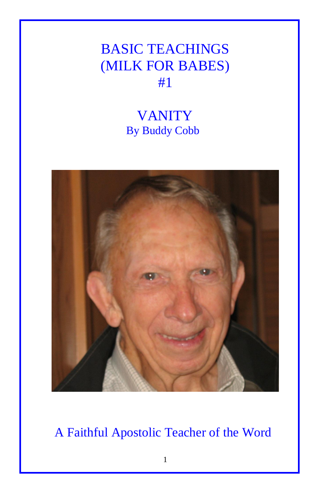## BASIC TEACHINGS (MILK FOR BABES) #1

## VANITY By Buddy Cobb



A Faithful Apostolic Teacher of the Word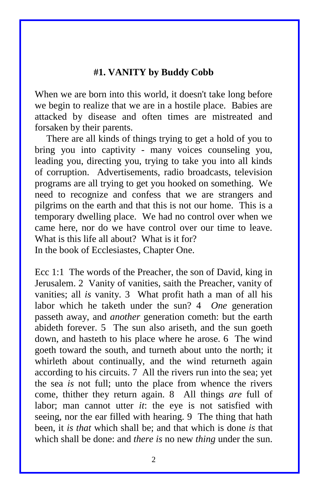## **#1. VANITY by Buddy Cobb**

When we are born into this world, it doesn't take long before we begin to realize that we are in a hostile place. Babies are attacked by disease and often times are mistreated and forsaken by their parents.

There are all kinds of things trying to get a hold of you to bring you into captivity - many voices counseling you, leading you, directing you, trying to take you into all kinds of corruption. Advertisements, radio broadcasts, television programs are all trying to get you hooked on something. We need to recognize and confess that we are strangers and pilgrims on the earth and that this is not our home. This is a temporary dwelling place. We had no control over when we came here, nor do we have control over our time to leave. What is this life all about? What is it for? In the book of Ecclesiastes, Chapter One.

Ecc 1:1 The words of the Preacher, the son of David, king in Jerusalem. 2 Vanity of vanities, saith the Preacher, vanity of vanities; all *is* vanity. 3 What profit hath a man of all his labor which he taketh under the sun? 4 *One* generation passeth away, and *another* generation cometh: but the earth abideth forever. 5 The sun also ariseth, and the sun goeth down, and hasteth to his place where he arose. 6 The wind goeth toward the south, and turneth about unto the north; it whirleth about continually, and the wind returneth again according to his circuits. 7 All the rivers run into the sea; yet the sea *is* not full; unto the place from whence the rivers come, thither they return again. 8 All things *are* full of labor; man cannot utter *it*: the eye is not satisfied with seeing, nor the ear filled with hearing. 9 The thing that hath been, it *is that* which shall be; and that which is done *is* that which shall be done: and *there is* no new *thing* under the sun.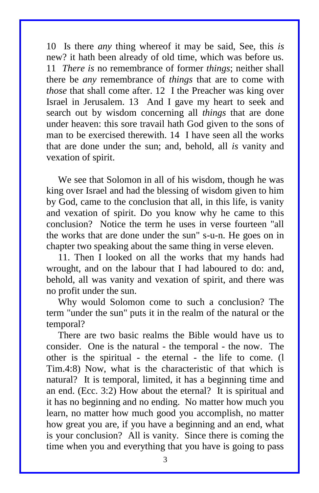10 Is there *any* thing whereof it may be said, See, this *is* new? it hath been already of old time, which was before us. 11 *There is* no remembrance of former *things*; neither shall there be *any* remembrance of *things* that are to come with *those* that shall come after. 12 I the Preacher was king over Israel in Jerusalem. 13 And I gave my heart to seek and search out by wisdom concerning all *things* that are done under heaven: this sore travail hath God given to the sons of man to be exercised therewith. 14 I have seen all the works that are done under the sun; and, behold, all *is* vanity and vexation of spirit.

We see that Solomon in all of his wisdom, though he was king over Israel and had the blessing of wisdom given to him by God, came to the conclusion that all, in this life, is vanity and vexation of spirit. Do you know why he came to this conclusion? Notice the term he uses in verse fourteen "all the works that are done under the sun" s-u-n. He goes on in chapter two speaking about the same thing in verse eleven.

11. Then I looked on all the works that my hands had wrought, and on the labour that I had laboured to do: and, behold, all was vanity and vexation of spirit, and there was no profit under the sun.

Why would Solomon come to such a conclusion? The term "under the sun" puts it in the realm of the natural or the temporal?

There are two basic realms the Bible would have us to consider. One is the natural - the temporal - the now. The other is the spiritual - the eternal - the life to come. (l Tim.4:8) Now, what is the characteristic of that which is natural? It is temporal, limited, it has a beginning time and an end. (Ecc. 3:2) How about the eternal? It is spiritual and it has no beginning and no ending. No matter how much you learn, no matter how much good you accomplish, no matter how great you are, if you have a beginning and an end, what is your conclusion? All is vanity. Since there is coming the time when you and everything that you have is going to pass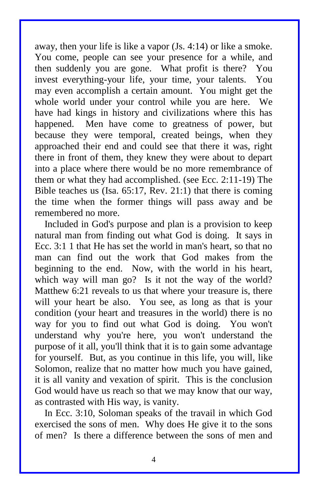away, then your life is like a vapor (Js. 4:14) or like a smoke. You come, people can see your presence for a while, and then suddenly you are gone. What profit is there? You invest everything-your life, your time, your talents. You may even accomplish a certain amount. You might get the whole world under your control while you are here. We have had kings in history and civilizations where this has happened. Men have come to greatness of power, but because they were temporal, created beings, when they approached their end and could see that there it was, right there in front of them, they knew they were about to depart into a place where there would be no more remembrance of them or what they had accomplished. (see Ecc. 2:11-19) The Bible teaches us (Isa. 65:17, Rev. 21:1) that there is coming the time when the former things will pass away and be remembered no more.

 Included in God's purpose and plan is a provision to keep natural man from finding out what God is doing. It says in Ecc. 3:1 1 that He has set the world in man's heart, so that no man can find out the work that God makes from the beginning to the end. Now, with the world in his heart, which way will man go? Is it not the way of the world? Matthew 6:21 reveals to us that where your treasure is, there will your heart be also. You see, as long as that is your condition (your heart and treasures in the world) there is no way for you to find out what God is doing. You won't understand why you're here, you won't understand the purpose of it all, you'll think that it is to gain some advantage for yourself. But, as you continue in this life, you will, like Solomon, realize that no matter how much you have gained, it is all vanity and vexation of spirit. This is the conclusion God would have us reach so that we may know that our way, as contrasted with His way, is vanity.

 In Ecc. 3:10, Soloman speaks of the travail in which God exercised the sons of men. Why does He give it to the sons of men? Is there a difference between the sons of men and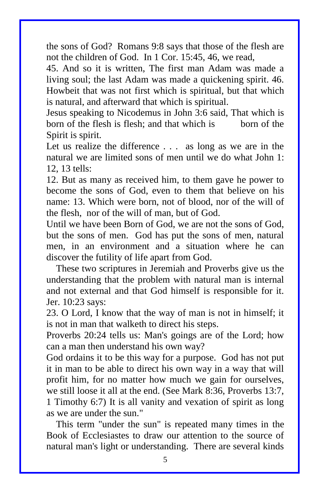the sons of God? Romans 9:8 says that those of the flesh are not the children of God. In 1 Cor. 15:45, 46, we read,

45. And so it is written, The first man Adam was made a living soul; the last Adam was made a quickening spirit. 46. Howbeit that was not first which is spiritual, but that which is natural, and afterward that which is spiritual.

Jesus speaking to Nicodemus in John 3:6 said, That which is born of the flesh is flesh; and that which is born of the Spirit is spirit.

Let us realize the difference . . . as long as we are in the natural we are limited sons of men until we do what John 1: 12, 13 tells:

12. But as many as received him, to them gave he power to become the sons of God, even to them that believe on his name: 13. Which were born, not of blood, nor of the will of the flesh, nor of the will of man, but of God.

Until we have been Born of God, we are not the sons of God, but the sons of men. God has put the sons of men, natural men, in an environment and a situation where he can discover the futility of life apart from God.

 These two scriptures in Jeremiah and Proverbs give us the understanding that the problem with natural man is internal and not external and that God himself is responsible for it. Jer. 10:23 says:

23. O Lord, I know that the way of man is not in himself; it is not in man that walketh to direct his steps.

Proverbs 20:24 tells us: Man's goings are of the Lord; how can a man then understand his own way?

God ordains it to be this way for a purpose. God has not put it in man to be able to direct his own way in a way that will profit him, for no matter how much we gain for ourselves, we still loose it all at the end. (See Mark 8:36, Proverbs 13:7, 1 Timothy 6:7) It is all vanity and vexation of spirit as long as we are under the sun."

 This term "under the sun" is repeated many times in the Book of Ecclesiastes to draw our attention to the source of natural man's light or understanding. There are several kinds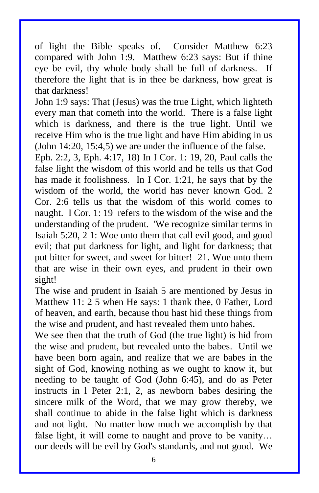of light the Bible speaks of. Consider Matthew 6:23 compared with John 1:9. Matthew 6:23 says: But if thine eye be evil, thy whole body shall be full of darkness. If therefore the light that is in thee be darkness, how great is that darkness!

John 1:9 says: That (Jesus) was the true Light, which lighteth every man that cometh into the world. There is a false light which is darkness, and there is the true light. Until we receive Him who is the true light and have Him abiding in us (John 14:20, 15:4,5) we are under the influence of the false.

Eph. 2:2, 3, Eph. 4:17, 18) In I Cor. 1: 19, 20, Paul calls the false light the wisdom of this world and he tells us that God has made it foolishness. In I Cor. 1:21, he says that by the wisdom of the world, the world has never known God. 2 Cor. 2:6 tells us that the wisdom of this world comes to naught. I Cor. 1: 19 refers to the wisdom of the wise and the understanding of the prudent. 'We recognize similar terms in Isaiah 5:20, 2 1: Woe unto them that call evil good, and good evil; that put darkness for light, and light for darkness; that put bitter for sweet, and sweet for bitter! 21. Woe unto them that are wise in their own eyes, and prudent in their own sight!

The wise and prudent in Isaiah 5 are mentioned by Jesus in Matthew 11: 2 5 when He says: 1 thank thee, 0 Father, Lord of heaven, and earth, because thou hast hid these things from the wise and prudent, and hast revealed them unto babes.

We see then that the truth of God (the true light) is hid from the wise and prudent, but revealed unto the babes. Until we have been born again, and realize that we are babes in the sight of God, knowing nothing as we ought to know it, but needing to be taught of God (John 6:45), and do as Peter instructs in l Peter 2:1, 2, as newborn babes desiring the sincere milk of the Word, that we may grow thereby, we shall continue to abide in the false light which is darkness and not light. No matter how much we accomplish by that false light, it will come to naught and prove to be vanity… our deeds will be evil by God's standards, and not good. We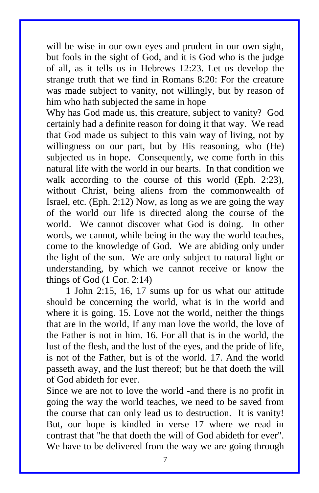will be wise in our own eyes and prudent in our own sight, but fools in the sight of God, and it is God who is the judge of all, as it tells us in Hebrews 12:23. Let us develop the strange truth that we find in Romans 8:20: For the creature was made subject to vanity, not willingly, but by reason of him who hath subjected the same in hope

Why has God made us, this creature, subject to vanity? God certainly had a definite reason for doing it that way. We read that God made us subject to this vain way of living, not by willingness on our part, but by His reasoning, who (He) subjected us in hope. Consequently, we come forth in this natural life with the world in our hearts. In that condition we walk according to the course of this world (Eph. 2:23), without Christ, being aliens from the commonwealth of Israel, etc. (Eph. 2:12) Now, as long as we are going the way of the world our life is directed along the course of the world. We cannot discover what God is doing. In other words, we cannot, while being in the way the world teaches, come to the knowledge of God. We are abiding only under the light of the sun. We are only subject to natural light or understanding, by which we cannot receive or know the things of God (1 Cor. 2:14)

 1 John 2:15, 16, 17 sums up for us what our attitude should be concerning the world, what is in the world and where it is going. 15. Love not the world, neither the things that are in the world, If any man love the world, the love of the Father is not in him. 16. For all that is in the world, the lust of the flesh, and the lust of the eyes, and the pride of life, is not of the Father, but is of the world. 17. And the world passeth away, and the lust thereof; but he that doeth the will of God abideth for ever.

Since we are not to love the world -and there is no profit in going the way the world teaches, we need to be saved from the course that can only lead us to destruction. It is vanity! But, our hope is kindled in verse 17 where we read in contrast that "he that doeth the will of God abideth for ever". We have to be delivered from the way we are going through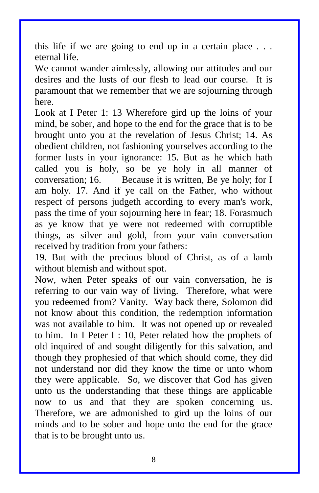this life if we are going to end up in a certain place . . . eternal life.

We cannot wander aimlessly, allowing our attitudes and our desires and the lusts of our flesh to lead our course. It is paramount that we remember that we are sojourning through here.

Look at I Peter 1: 13 Wherefore gird up the loins of your mind, be sober, and hope to the end for the grace that is to be brought unto you at the revelation of Jesus Christ; 14. As obedient children, not fashioning yourselves according to the former lusts in your ignorance: 15. But as he which hath called you is holy, so be ye holy in all manner of conversation; 16. Because it is written, Be ye holy; for I am holy. 17. And if ye call on the Father, who without respect of persons judgeth according to every man's work, pass the time of your sojourning here in fear; 18. Forasmuch as ye know that ye were not redeemed with corruptible things, as silver and gold, from your vain conversation received by tradition from your fathers:

19. But with the precious blood of Christ, as of a lamb without blemish and without spot.

Now, when Peter speaks of our vain conversation, he is referring to our vain way of living. Therefore, what were you redeemed from? Vanity. Way back there, Solomon did not know about this condition, the redemption information was not available to him. It was not opened up or revealed to him. In I Peter I : 10, Peter related how the prophets of old inquired of and sought diligently for this salvation, and though they prophesied of that which should come, they did not understand nor did they know the time or unto whom they were applicable. So, we discover that God has given unto us the understanding that these things are applicable now to us and that they are spoken concerning us. Therefore, we are admonished to gird up the loins of our minds and to be sober and hope unto the end for the grace that is to be brought unto us.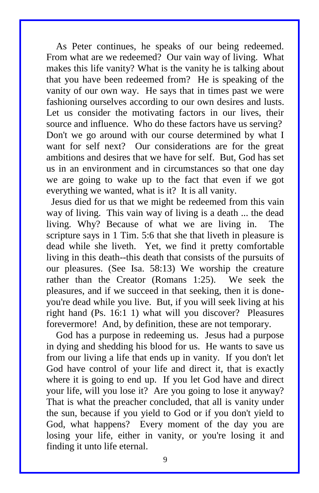As Peter continues, he speaks of our being redeemed. From what are we redeemed? Our vain way of living. What makes this life vanity? What is the vanity he is talking about that you have been redeemed from? He is speaking of the vanity of our own way. He says that in times past we were fashioning ourselves according to our own desires and lusts. Let us consider the motivating factors in our lives, their source and influence. Who do these factors have us serving? Don't we go around with our course determined by what I want for self next? Our considerations are for the great ambitions and desires that we have for self. But, God has set us in an environment and in circumstances so that one day we are going to wake up to the fact that even if we got everything we wanted, what is it? It is all vanity.

 Jesus died for us that we might be redeemed from this vain way of living. This vain way of living is a death ... the dead living. Why? Because of what we are living in. The scripture says in 1 Tim. 5:6 that she that liveth in pleasure is dead while she liveth. Yet, we find it pretty comfortable living in this death--this death that consists of the pursuits of our pleasures. (See Isa. 58:13) We worship the creature rather than the Creator (Romans 1:25). We seek the pleasures, and if we succeed in that seeking, then it is doneyou're dead while you live. But, if you will seek living at his right hand (Ps. 16:1 1) what will you discover? Pleasures forevermore! And, by definition, these are not temporary.

 God has a purpose in redeeming us. Jesus had a purpose in dying and shedding his blood for us. He wants to save us from our living a life that ends up in vanity. If you don't let God have control of your life and direct it, that is exactly where it is going to end up. If you let God have and direct your life, will you lose it? Are you going to lose it anyway? That is what the preacher concluded, that all is vanity under the sun, because if you yield to God or if you don't yield to God, what happens? Every moment of the day you are losing your life, either in vanity, or you're losing it and finding it unto life eternal.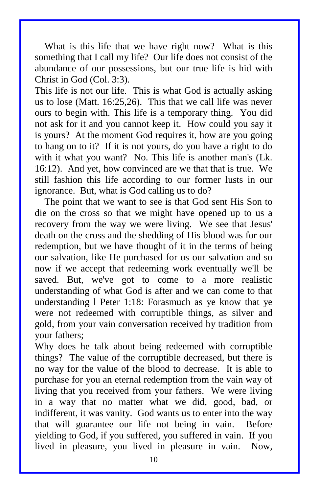What is this life that we have right now? What is this something that I call my life? Our life does not consist of the abundance of our possessions, but our true life is hid with Christ in God (Col. 3:3).

This life is not our life. This is what God is actually asking us to lose (Matt. 16:25,26). This that we call life was never ours to begin with. This life is a temporary thing. You did not ask for it and you cannot keep it. How could you say it is yours? At the moment God requires it, how are you going to hang on to it? If it is not yours, do you have a right to do with it what you want? No. This life is another man's (Lk. 16:12). And yet, how convinced are we that that is true. We still fashion this life according to our former lusts in our ignorance. But, what is God calling us to do?

 The point that we want to see is that God sent His Son to die on the cross so that we might have opened up to us a recovery from the way we were living. We see that Jesus' death on the cross and the shedding of His blood was for our redemption, but we have thought of it in the terms of being our salvation, like He purchased for us our salvation and so now if we accept that redeeming work eventually we'll be saved. But, we've got to come to a more realistic understanding of what God is after and we can come to that understanding l Peter 1:18: Forasmuch as ye know that ye were not redeemed with corruptible things, as silver and gold, from your vain conversation received by tradition from your fathers;

Why does he talk about being redeemed with corruptible things? The value of the corruptible decreased, but there is no way for the value of the blood to decrease. It is able to purchase for you an eternal redemption from the vain way of living that you received from your fathers. We were living in a way that no matter what we did, good, bad, or indifferent, it was vanity. God wants us to enter into the way that will guarantee our life not being in vain. Before yielding to God, if you suffered, you suffered in vain. If you lived in pleasure, you lived in pleasure in vain. Now,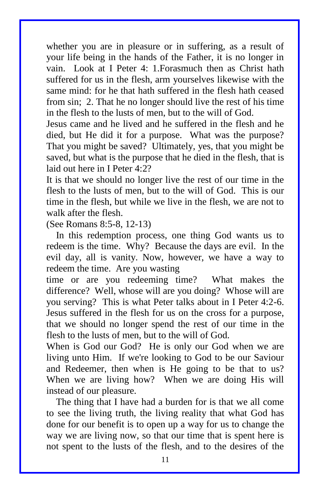whether you are in pleasure or in suffering, as a result of your life being in the hands of the Father, it is no longer in vain. Look at I Peter 4: 1.Forasmuch then as Christ hath suffered for us in the flesh, arm yourselves likewise with the same mind: for he that hath suffered in the flesh hath ceased from sin; 2. That he no longer should live the rest of his time in the flesh to the lusts of men, but to the will of God.

Jesus came and he lived and he suffered in the flesh and he died, but He did it for a purpose. What was the purpose? That you might be saved? Ultimately, yes, that you might be saved, but what is the purpose that he died in the flesh, that is laid out here in I Peter 4:2?

It is that we should no longer live the rest of our time in the flesh to the lusts of men, but to the will of God. This is our time in the flesh, but while we live in the flesh, we are not to walk after the flesh.

(See Romans 8:5-8, 12-13)

 In this redemption process, one thing God wants us to redeem is the time. Why? Because the days are evil. In the evil day, all is vanity. Now, however, we have a way to redeem the time. Are you wasting

time or are you redeeming time? What makes the difference? Well, whose will are you doing? Whose will are you serving? This is what Peter talks about in I Peter 4:2-6. Jesus suffered in the flesh for us on the cross for a purpose, that we should no longer spend the rest of our time in the flesh to the lusts of men, but to the will of God.

When is God our God? He is only our God when we are living unto Him. If we're looking to God to be our Saviour and Redeemer, then when is He going to be that to us? When we are living how? When we are doing His will instead of our pleasure.

 The thing that I have had a burden for is that we all come to see the living truth, the living reality that what God has done for our benefit is to open up a way for us to change the way we are living now, so that our time that is spent here is not spent to the lusts of the flesh, and to the desires of the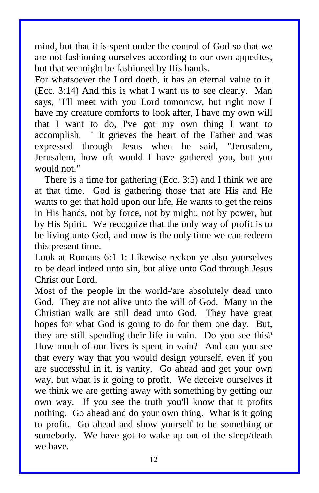mind, but that it is spent under the control of God so that we are not fashioning ourselves according to our own appetites, but that we might be fashioned by His hands.

For whatsoever the Lord doeth, it has an eternal value to it. (Ecc. 3:14) And this is what I want us to see clearly. Man says, "I'll meet with you Lord tomorrow, but right now I have my creature comforts to look after, I have my own will that I want to do, I've got my own thing I want to accomplish. " It grieves the heart of the Father and was expressed through Jesus when he said, "Jerusalem, Jerusalem, how oft would I have gathered you, but you would not."

 There is a time for gathering (Ecc. 3:5) and I think we are at that time. God is gathering those that are His and He wants to get that hold upon our life, He wants to get the reins in His hands, not by force, not by might, not by power, but by His Spirit. We recognize that the only way of profit is to be living unto God, and now is the only time we can redeem this present time.

Look at Romans 6:1 1: Likewise reckon ye also yourselves to be dead indeed unto sin, but alive unto God through Jesus Christ our Lord.

Most of the people in the world-'are absolutely dead unto God. They are not alive unto the will of God. Many in the Christian walk are still dead unto God. They have great hopes for what God is going to do for them one day. But, they are still spending their life in vain. Do you see this? How much of our lives is spent in vain? And can you see that every way that you would design yourself, even if you are successful in it, is vanity. Go ahead and get your own way, but what is it going to profit. We deceive ourselves if we think we are getting away with something by getting our own way. If you see the truth you'll know that it profits nothing. Go ahead and do your own thing. What is it going to profit. Go ahead and show yourself to be something or somebody. We have got to wake up out of the sleep/death we have.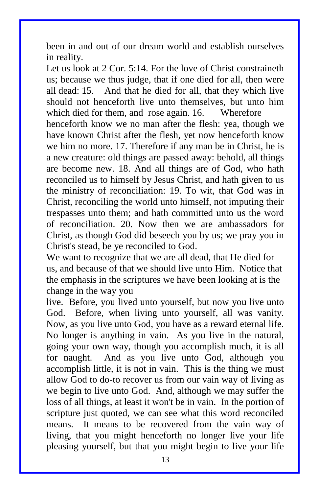been in and out of our dream world and establish ourselves in reality.

Let us look at 2 Cor. 5:14. For the love of Christ constraineth us; because we thus judge, that if one died for all, then were all dead: 15. And that he died for all, that they which live should not henceforth live unto themselves, but unto him which died for them, and rose again, 16. Wherefore henceforth know we no man after the flesh: yea, though we have known Christ after the flesh, yet now henceforth know we him no more. 17. Therefore if any man be in Christ, he is a new creature: old things are passed away: behold, all things are become new. 18. And all things are of God, who hath reconciled us to himself by Jesus Christ, and hath given to us the ministry of reconciliation: 19. To wit, that God was in Christ, reconciling the world unto himself, not imputing their trespasses unto them; and hath committed unto us the word of reconciliation. 20. Now then we are ambassadors for Christ, as though God did beseech you by us; we pray you in Christ's stead, be ye reconciled to God.

We want to recognize that we are all dead, that He died for us, and because of that we should live unto Him. Notice that the emphasis in the scriptures we have been looking at is the change in the way you

live. Before, you lived unto yourself, but now you live unto God. Before, when living unto yourself, all was vanity. Now, as you live unto God, you have as a reward eternal life. No longer is anything in vain. As you live in the natural, going your own way, though you accomplish much, it is all for naught. And as you live unto God, although you accomplish little, it is not in vain. This is the thing we must allow God to do-to recover us from our vain way of living as we begin to live unto God. And, although we may suffer the loss of all things, at least it won't be in vain. In the portion of scripture just quoted, we can see what this word reconciled means. It means to be recovered from the vain way of living, that you might henceforth no longer live your life pleasing yourself, but that you might begin to live your life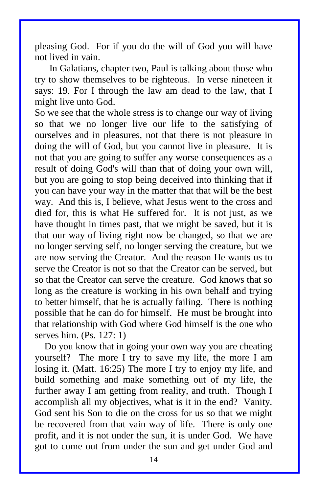pleasing God. For if you do the will of God you will have not lived in vain.

 In Galatians, chapter two, Paul is talking about those who try to show themselves to be righteous. In verse nineteen it says: 19. For I through the law am dead to the law, that I might live unto God.

So we see that the whole stress is to change our way of living so that we no longer live our life to the satisfying of ourselves and in pleasures, not that there is not pleasure in doing the will of God, but you cannot live in pleasure. It is not that you are going to suffer any worse consequences as a result of doing God's will than that of doing your own will, but you are going to stop being deceived into thinking that if you can have your way in the matter that that will be the best way. And this is, I believe, what Jesus went to the cross and died for, this is what He suffered for. It is not just, as we have thought in times past, that we might be saved, but it is that our way of living right now be changed, so that we are no longer serving self, no longer serving the creature, but we are now serving the Creator. And the reason He wants us to serve the Creator is not so that the Creator can be served, but so that the Creator can serve the creature. God knows that so long as the creature is working in his own behalf and trying to better himself, that he is actually failing. There is nothing possible that he can do for himself. He must be brought into that relationship with God where God himself is the one who serves him. (Ps. 127: 1)

 Do you know that in going your own way you are cheating yourself? The more I try to save my life, the more I am losing it. (Matt. 16:25) The more I try to enjoy my life, and build something and make something out of my life, the further away I am getting from reality, and truth. Though I accomplish all my objectives, what is it in the end? Vanity. God sent his Son to die on the cross for us so that we might be recovered from that vain way of life. There is only one profit, and it is not under the sun, it is under God. We have got to come out from under the sun and get under God and